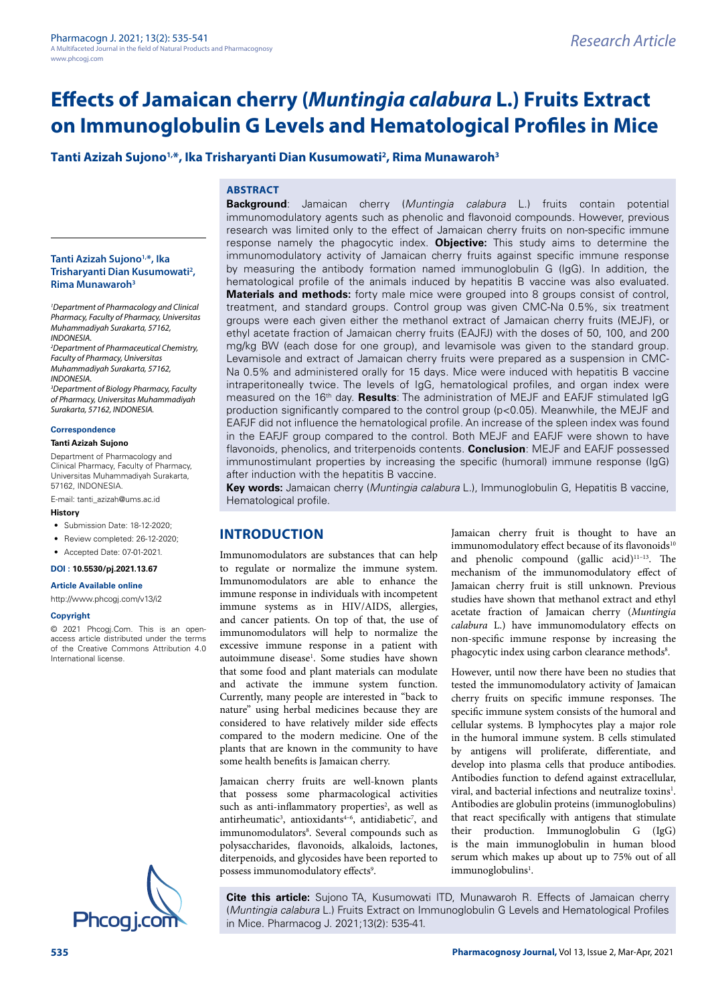# **Effects of Jamaican cherry (***Muntingia calabura* **L.) Fruits Extract on Immunoglobulin G Levels and Hematological Profiles in Mice**

# **Tanti Azizah Sujono1,\*, Ika Trisharyanti Dian Kusumowati2 , Rima Munawaroh3**

# **ABSTRACT**

**Background**: Jamaican cherry (*Muntingia calabura* L.) fruits contain potential immunomodulatory agents such as phenolic and flavonoid compounds. However, previous research was limited only to the effect of Jamaican cherry fruits on non-specific immune response namely the phagocytic index. **Objective:** This study aims to determine the immunomodulatory activity of Jamaican cherry fruits against specific immune response by measuring the antibody formation named immunoglobulin G (IgG). In addition, the hematological profile of the animals induced by hepatitis B vaccine was also evaluated. **Materials and methods:** forty male mice were grouped into 8 groups consist of control, treatment, and standard groups. Control group was given CMC-Na 0.5%, six treatment groups were each given either the methanol extract of Jamaican cherry fruits (MEJF), or ethyl acetate fraction of Jamaican cherry fruits (EAJFJ) with the doses of 50, 100, and 200 mg/kg BW (each dose for one group), and levamisole was given to the standard group. Levamisole and extract of Jamaican cherry fruits were prepared as a suspension in CMC-Na 0.5% and administered orally for 15 days. Mice were induced with hepatitis B vaccine intraperitoneally twice. The levels of IgG, hematological profiles, and organ index were measured on the 16th day. **Results**: The administration of MEJF and EAFJF stimulated IgG production significantly compared to the control group (p<0.05). Meanwhile, the MEJF and EAFJF did not influence the hematological profile. An increase of the spleen index was found in the EAFJF group compared to the control. Both MEJF and EAFJF were shown to have flavonoids, phenolics, and triterpenoids contents. **Conclusion**: MEJF and EAFJF possessed immunostimulant properties by increasing the specific (humoral) immune response (IgG) after induction with the hepatitis B vaccine.

**Key words:** Jamaican cherry (*Muntingia calabura* L.), Immunoglobulin G, Hepatitis B vaccine, Hematological profile.

# **INTRODUCTION**

Immunomodulators are substances that can help to regulate or normalize the immune system. Immunomodulators are able to enhance the immune response in individuals with incompetent immune systems as in HIV/AIDS, allergies, and cancer patients. On top of that, the use of immunomodulators will help to normalize the excessive immune response in a patient with autoimmune disease<sup>1</sup>. Some studies have shown that some food and plant materials can modulate and activate the immune system function. Currently, many people are interested in "back to nature" using herbal medicines because they are considered to have relatively milder side effects compared to the modern medicine. One of the plants that are known in the community to have some health benefits is Jamaican cherry.

Jamaican cherry fruits are well-known plants that possess some pharmacological activities such as anti-inflammatory properties<sup>2</sup>, as well as antirheumatic<sup>3</sup>, antioxidants<sup>4-6</sup>, antidiabetic<sup>7</sup>, and immunomodulators<sup>8</sup>. Several compounds such as polysaccharides, flavonoids, alkaloids, lactones, diterpenoids, and glycosides have been reported to possess immunomodulatory effects<sup>9</sup>.

Jamaican cherry fruit is thought to have an immunomodulatory effect because of its flavonoids<sup>10</sup> and phenolic compound (gallic acid) $11-13$ . The mechanism of the immunomodulatory effect of Jamaican cherry fruit is still unknown. Previous studies have shown that methanol extract and ethyl acetate fraction of Jamaican cherry (*Muntingia calabura* L.) have immunomodulatory effects on non-specific immune response by increasing the phagocytic index using carbon clearance methods<sup>8</sup>.

However, until now there have been no studies that tested the immunomodulatory activity of Jamaican cherry fruits on specific immune responses. The specific immune system consists of the humoral and cellular systems. B lymphocytes play a major role in the humoral immune system. B cells stimulated by antigens will proliferate, differentiate, and develop into plasma cells that produce antibodies. Antibodies function to defend against extracellular, viral, and bacterial infections and neutralize toxins<sup>1</sup>. Antibodies are globulin proteins (immunoglobulins) that react specifically with antigens that stimulate their production. Immunoglobulin G (IgG) is the main immunoglobulin in human blood serum which makes up about up to 75% out of all immunoglobulins<sup>1</sup>.

**Cite this article:** Sujono TA, Kusumowati ITD, Munawaroh R. Effects of Jamaican cherry (*Muntingia calabura* L.) Fruits Extract on Immunoglobulin G Levels and Hematological Profiles in Mice. Pharmacog J. 2021;13(2): 535-41.

#### **Tanti Azizah Sujono1,\*, Ika Trisharyanti Dian Kusumowati2 , Rima Munawaroh3**

*1 Department of Pharmacology and Clinical Pharmacy, Faculty of Pharmacy, Universitas Muhammadiyah Surakarta, 57162, INDONESIA.*

*2 Department of Pharmaceutical Chemistry, Faculty of Pharmacy, Universitas Muhammadiyah Surakarta, 57162, INDONESIA.* 

*3 Department of Biology Pharmacy, Faculty of Pharmacy, Universitas Muhammadiyah Surakarta, 57162, INDONESIA.*

#### **Correspondence**

#### **Tanti Azizah Sujono**

Department of Pharmacology and Clinical Pharmacy, Faculty of Pharmacy, Universitas Muhammadiyah Surakarta, 57162, INDONESIA.

E-mail: [tanti\\_azizah@ums.ac.id](mailto:tanti_azizah@ums.ac.id)

#### **History**

- Submission Date: 18-12-2020;
- Review completed: 26-12-2020;
- Accepted Date: 07-01-2021.

#### **DOI : 10.5530/pj.2021.13.67**

**Article Available online**  <http://www.phcogj.com/v13/i2>

#### **Copyright**

© 2021 Phcogj.Com. This is an openaccess article distributed under the terms of the Creative Commons Attribution 4.0 International license.

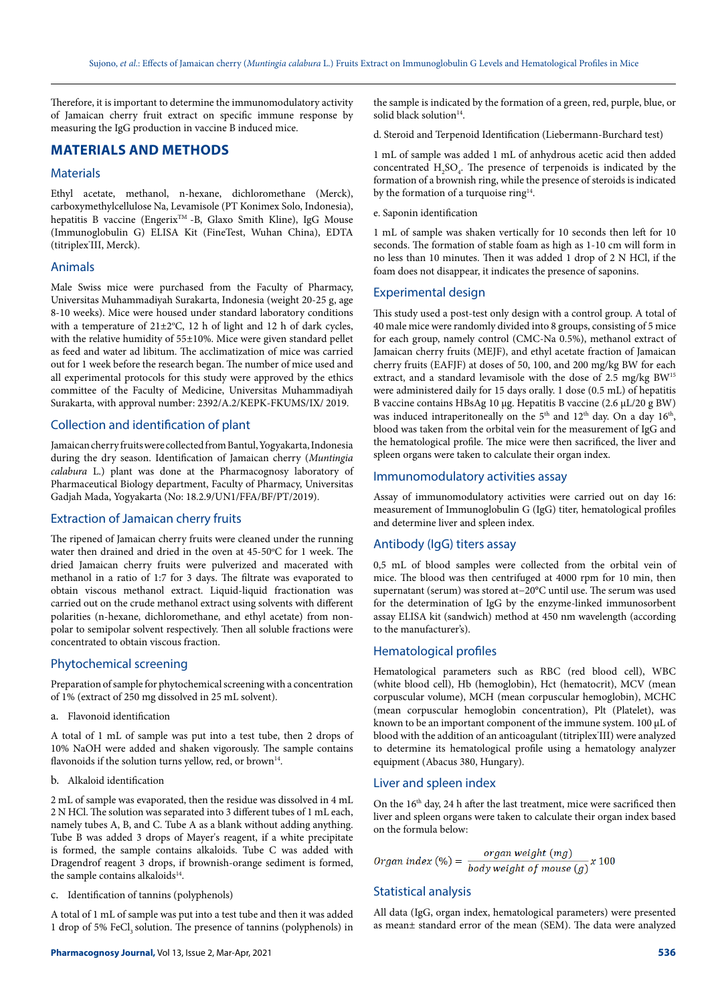Therefore, it is important to determine the immunomodulatory activity of Jamaican cherry fruit extract on specific immune response by measuring the IgG production in vaccine B induced mice.

# **MATERIALS AND METHODS**

#### **Materials**

Ethyl acetate, methanol, n-hexane, dichloromethane (Merck), carboxymethylcellulose Na, Levamisole (PT Konimex Solo, Indonesia), hepatitis B vaccine (Engerix<sup>™</sup> -B, Glaxo Smith Kline), IgG Mouse (Immunoglobulin G) ELISA Kit (FineTest, Wuhan China), EDTA (titriplex® III, Merck).

#### Animals

Male Swiss mice were purchased from the Faculty of Pharmacy, Universitas Muhammadiyah Surakarta, Indonesia (weight 20-25 g, age 8-10 weeks). Mice were housed under standard laboratory conditions with a temperature of  $21 \pm 2$ °C, 12 h of light and 12 h of dark cycles, with the relative humidity of 55±10%. Mice were given standard pellet as feed and water ad libitum. The acclimatization of mice was carried out for 1 week before the research began. The number of mice used and all experimental protocols for this study were approved by the ethics committee of the Faculty of Medicine, Universitas Muhammadiyah Surakarta, with approval number: 2392/A.2/KEPK-FKUMS/IX/ 2019.

# Collection and identification of plant

Jamaican cherry fruits were collected from Bantul, Yogyakarta, Indonesia during the dry season. Identification of Jamaican cherry (*Muntingia calabura* L.) plant was done at the Pharmacognosy laboratory of Pharmaceutical Biology department, Faculty of Pharmacy, Universitas Gadjah Mada, Yogyakarta (No: 18.2.9/UN1/FFA/BF/PT/2019).

# Extraction of Jamaican cherry fruits

The ripened of Jamaican cherry fruits were cleaned under the running water then drained and dried in the oven at 45-50°C for 1 week. The dried Jamaican cherry fruits were pulverized and macerated with methanol in a ratio of 1:7 for 3 days. The filtrate was evaporated to obtain viscous methanol extract. Liquid-liquid fractionation was carried out on the crude methanol extract using solvents with different polarities (n-hexane, dichloromethane, and ethyl acetate) from nonpolar to semipolar solvent respectively. Then all soluble fractions were concentrated to obtain viscous fraction.

# Phytochemical screening

Preparation of sample for phytochemical screening with a concentration of 1% (extract of 250 mg dissolved in 25 mL solvent).

a. Flavonoid identification

A total of 1 mL of sample was put into a test tube, then 2 drops of 10% NaOH were added and shaken vigorously. The sample contains flavonoids if the solution turns yellow, red, or brown<sup>14</sup>.

### b. Alkaloid identification

2 mL of sample was evaporated, then the residue was dissolved in 4 mL 2 N HCl. The solution was separated into 3 different tubes of 1 mL each, namely tubes A, B, and C. Tube A as a blank without adding anything. Tube B was added 3 drops of Mayer's reagent, if a white precipitate is formed, the sample contains alkaloids. Tube C was added with Dragendrof reagent 3 drops, if brownish-orange sediment is formed, the sample contains alkaloids<sup>14</sup>.

c. Identification of tannins (polyphenols)

A total of 1 mL of sample was put into a test tube and then it was added 1 drop of 5% FeCl<sub>2</sub> solution. The presence of tannins (polyphenols) in

the sample is indicated by the formation of a green, red, purple, blue, or solid black solution<sup>14</sup>.

d. Steroid and Terpenoid Identification (Liebermann-Burchard test)

1 mL of sample was added 1 mL of anhydrous acetic acid then added concentrated  $H_2SO_4$ . The presence of terpenoids is indicated by the formation of a brownish ring, while the presence of steroids is indicated by the formation of a turquoise ring<sup>14</sup>.

#### e. Saponin identification

1 mL of sample was shaken vertically for 10 seconds then left for 10 seconds. The formation of stable foam as high as 1-10 cm will form in no less than 10 minutes. Then it was added 1 drop of 2 N HCl, if the foam does not disappear, it indicates the presence of saponins.

## Experimental design

This study used a post-test only design with a control group. A total of 40 male mice were randomly divided into 8 groups, consisting of 5 mice for each group, namely control (CMC-Na 0.5%), methanol extract of Jamaican cherry fruits (MEJF), and ethyl acetate fraction of Jamaican cherry fruits (EAFJF) at doses of 50, 100, and 200 mg/kg BW for each extract, and a standard levamisole with the dose of 2.5 mg/kg BW15 were administered daily for 15 days orally. 1 dose (0.5 mL) of hepatitis B vaccine contains HBsAg 10 μg. Hepatitis B vaccine (2.6 µL/20 g BW) was induced intraperitoneally on the 5<sup>th</sup> and 12<sup>th</sup> day. On a day 16<sup>th</sup>, blood was taken from the orbital vein for the measurement of IgG and the hematological profile. The mice were then sacrificed, the liver and spleen organs were taken to calculate their organ index.

# Immunomodulatory activities assay

Assay of immunomodulatory activities were carried out on day 16: measurement of Immunoglobulin G (IgG) titer, hematological profiles and determine liver and spleen index.

#### Antibody (IgG) titers assay

0,5 mL of blood samples were collected from the orbital vein of mice. The blood was then centrifuged at 4000 rpm for 10 min, then supernatant (serum) was stored at−20°C until use. The serum was used for the determination of IgG by the enzyme-linked immunosorbent assay ELISA kit (sandwich) method at 450 nm wavelength (according to the manufacturer's).

#### Hematological profiles

Hematological parameters such as RBC (red blood cell), WBC (white blood cell), Hb (hemoglobin), Hct (hematocrit), MCV (mean corpuscular volume), MCH (mean corpuscular hemoglobin), MCHC (mean corpuscular hemoglobin concentration), Plt (Platelet), was known to be an important component of the immune system. 100 µL of blood with the addition of an anticoagulant (titriplex'III) were analyzed to determine its hematological profile using a hematology analyzer equipment (Abacus 380, Hungary).

# Liver and spleen index

On the 16<sup>th</sup> day, 24 h after the last treatment, mice were sacrificed then liver and spleen organs were taken to calculate their organ index based on the formula below:

$$
Organ\ index (\%) = \frac{organ\ weight\ (mg)}{body\ weight\ of\ mouse\ (g)} \times 100
$$

# Statistical analysis

All data (IgG, organ index, hematological parameters) were presented as mean± standard error of the mean (SEM). The data were analyzed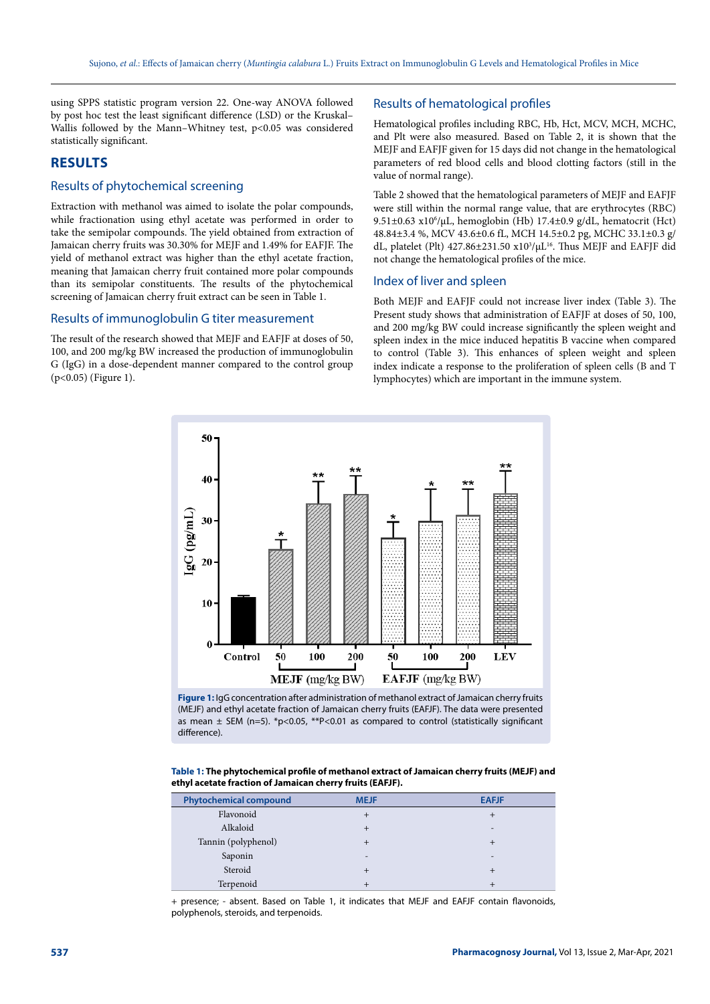using SPPS statistic program version 22. One-way ANOVA followed by post hoc test the least significant difference (LSD) or the Kruskal– Wallis followed by the Mann-Whitney test, p<0.05 was considered statistically significant.

# **RESULTS**

# Results of phytochemical screening

Extraction with methanol was aimed to isolate the polar compounds, while fractionation using ethyl acetate was performed in order to take the semipolar compounds. The yield obtained from extraction of Jamaican cherry fruits was 30.30% for MEJF and 1.49% for EAFJF. The yield of methanol extract was higher than the ethyl acetate fraction, meaning that Jamaican cherry fruit contained more polar compounds than its semipolar constituents. The results of the phytochemical screening of Jamaican cherry fruit extract can be seen in Table 1.

## Results of immunoglobulin G titer measurement

The result of the research showed that MEJF and EAFJF at doses of 50, 100, and 200 mg/kg BW increased the production of immunoglobulin G (IgG) in a dose-dependent manner compared to the control group (p<0.05) (Figure 1).

## Results of hematological profiles

Hematological profiles including RBC, Hb, Hct, MCV, MCH, MCHC, and Plt were also measured. Based on Table 2, it is shown that the MEJF and EAFJF given for 15 days did not change in the hematological parameters of red blood cells and blood clotting factors (still in the value of normal range).

Table 2 showed that the hematological parameters of MEJF and EAFJF were still within the normal range value, that are erythrocytes (RBC) 9.51±0.63 x106 /μL, hemoglobin (Hb) 17.4±0.9 g/dL, hematocrit (Hct) 48.84±3.4 %, MCV 43.6±0.6 fL, MCH 14.5±0.2 pg, MCHC 33.1±0.3 g/ dL, platelet (Plt)  $427.86 \pm 231.50 \times 10^3/\mu L^{16}$ . Thus MEJF and EAFJF did not change the hematological profiles of the mice.

#### Index of liver and spleen

Both MEJF and EAFJF could not increase liver index (Table 3). The Present study shows that administration of EAFJF at doses of 50, 100, and 200 mg/kg BW could increase significantly the spleen weight and spleen index in the mice induced hepatitis B vaccine when compared to control (Table 3). This enhances of spleen weight and spleen index indicate a response to the proliferation of spleen cells (B and T lymphocytes) which are important in the immune system.



**Figure 1:** IgG concentration after administration of methanol extract of Jamaican cherry fruits (MEJF) and ethyl acetate fraction of Jamaican cherry fruits (EAFJF). The data were presented as mean  $\pm$  SEM (n=5). \*p<0.05, \*\*P<0.01 as compared to control (statistically significant difference).

|                                                           | Table 1: The phytochemical profile of methanol extract of Jamaican cherry fruits (MEJF) and |
|-----------------------------------------------------------|---------------------------------------------------------------------------------------------|
| ethyl acetate fraction of Jamaican cherry fruits (EAFJF). |                                                                                             |

| <b>Phytochemical compound</b> | <b>MEJF</b> | <b>EAFJF</b> |
|-------------------------------|-------------|--------------|
| Flavonoid                     | ┿           |              |
| Alkaloid                      | ┿           |              |
| Tannin (polyphenol)           | +           |              |
| Saponin                       | -           | -            |
| Steroid                       | $+$         |              |
| Terpenoid                     |             |              |

+ presence; - absent. Based on Table 1, it indicates that MEJF and EAFJF contain flavonoids, polyphenols, steroids, and terpenoids.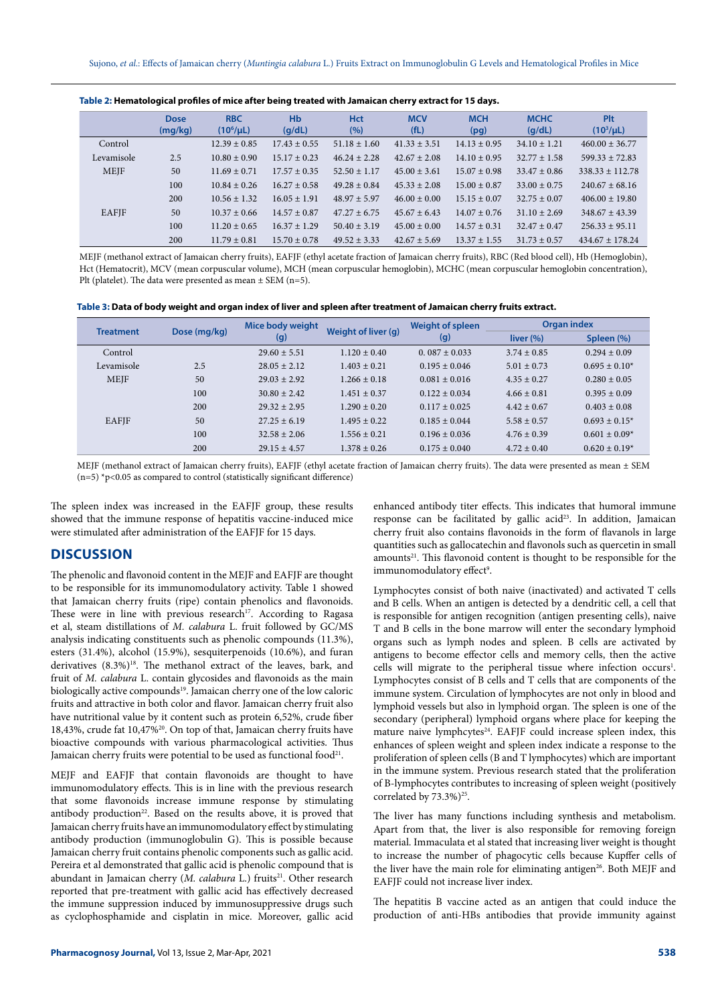| Table 2: Hematological profiles of mice after being treated with Jamaican cherry extract for 15 days. |  |
|-------------------------------------------------------------------------------------------------------|--|
|-------------------------------------------------------------------------------------------------------|--|

|              | <b>Dose</b><br>(mg/kg) | <b>RBC</b><br>$(10^6/\mu L)$ | <b>H<sub>b</sub></b><br>(q/dL) | <b>Hct</b><br>(%) | <b>MCV</b><br>(fL) | <b>MCH</b><br>(pg) | <b>MCHC</b><br>(q/dL) | Plt<br>$(10^3/\mu L)$ |
|--------------|------------------------|------------------------------|--------------------------------|-------------------|--------------------|--------------------|-----------------------|-----------------------|
| Control      |                        | $12.39 \pm 0.85$             | $17.43 \pm 0.55$               | $51.18 \pm 1.60$  | $41.33 \pm 3.51$   | $14.13 \pm 0.95$   | $34.10 \pm 1.21$      | $460.00 + 36.77$      |
| Levamisole   | 2.5                    | $10.80 \pm 0.90$             | $15.17 \pm 0.23$               | $46.24 \pm 2.28$  | $42.67 \pm 2.08$   | $14.10 \pm 0.95$   | $32.77 \pm 1.58$      | $599.33 + 72.83$      |
| <b>MEIF</b>  | 50                     | $11.69 \pm 0.71$             | $17.57 \pm 0.35$               | $52.50 \pm 1.17$  | $45.00 \pm 3.61$   | $15.07 \pm 0.98$   | $33.47 \pm 0.86$      | $338.33 + 112.78$     |
|              | 100                    | $10.84 \pm 0.26$             | $16.27 \pm 0.58$               | $49.28 \pm 0.84$  | $45.33 \pm 2.08$   | $15.00 \pm 0.87$   | $33.00 \pm 0.75$      | $240.67 + 68.16$      |
|              | 200                    | $10.56 \pm 1.32$             | $16.05 \pm 1.91$               | $48.97 + 5.97$    | $46.00 \pm 0.00$   | $15.15 \pm 0.07$   | $32.75 \pm 0.07$      | $406.00 \pm 19.80$    |
| <b>EAFIF</b> | 50                     | $10.37 \pm 0.66$             | $14.57 \pm 0.87$               | $47.27 + 6.75$    | $45.67 \pm 6.43$   | $14.07 \pm 0.76$   | $31.10 \pm 2.69$      | $348.67 + 43.39$      |
|              | 100                    | $11.20 \pm 0.65$             | $16.37 \pm 1.29$               | $50.40 \pm 3.19$  | $45.00 \pm 0.00$   | $14.57 \pm 0.31$   | $32.47 \pm 0.47$      | $256.33 + 95.11$      |
|              | 200                    | $11.79 \pm 0.81$             | $15.70 \pm 0.78$               | $49.52 + 3.33$    | $42.67 + 5.69$     | $13.37 \pm 1.55$   | $31.73 \pm 0.57$      | $434.67 + 178.24$     |

MEJF (methanol extract of Jamaican cherry fruits), EAFJF (ethyl acetate fraction of Jamaican cherry fruits), RBC (Red blood cell), Hb (Hemoglobin), Hct (Hematocrit), MCV (mean corpuscular volume), MCH (mean corpuscular hemoglobin), MCHC (mean corpuscular hemoglobin concentration), Plt (platelet). The data were presented as mean ± SEM (n=5).

|  | Table 3: Data of body weight and organ index of liver and spleen after treatment of Jamaican cherry fruits extract. |  |
|--|---------------------------------------------------------------------------------------------------------------------|--|
|--|---------------------------------------------------------------------------------------------------------------------|--|

| <b>Treatment</b> | Dose (mg/kg) | Mice body weight<br>Weight of liver (g)<br>(g) |                  | <b>Weight of spleen</b> | <b>Organ index</b> |                    |
|------------------|--------------|------------------------------------------------|------------------|-------------------------|--------------------|--------------------|
|                  |              |                                                |                  | (g)                     | liver $(%)$        | Spleen (%)         |
| Control          |              | $29.60 + 5.51$                                 | $1.120 \pm 0.40$ | $0.087 \pm 0.033$       | $3.74 \pm 0.85$    | $0.294 \pm 0.09$   |
| Levamisole       | 2.5          | $28.05 + 2.12$                                 | $1.403 \pm 0.21$ | $0.195 \pm 0.046$       | $5.01 \pm 0.73$    | $0.695 \pm 0.10^*$ |
| <b>MEJF</b>      | 50           | $29.03 + 2.92$                                 | $1.266 \pm 0.18$ | $0.081 \pm 0.016$       | $4.35 \pm 0.27$    | $0.280 \pm 0.05$   |
| EAFJF            | 100          | $30.80 + 2.42$                                 | $1.451 \pm 0.37$ | $0.122 \pm 0.034$       | $4.66 \pm 0.81$    | $0.395 \pm 0.09$   |
|                  | 200          | $29.32 + 2.95$                                 | $1.290 \pm 0.20$ | $0.117 \pm 0.025$       | $4.42 \pm 0.67$    | $0.403 \pm 0.08$   |
|                  | 50           | $27.25 \pm 6.19$                               | $1.495 \pm 0.22$ | $0.185 \pm 0.044$       | $5.58 \pm 0.57$    | $0.693 \pm 0.15^*$ |
|                  | 100          | $32.58 + 2.06$                                 | $1.556 \pm 0.21$ | $0.196 \pm 0.036$       | $4.76 \pm 0.39$    | $0.601 \pm 0.09*$  |
|                  | 200          | $29.15 + 4.57$                                 | $1.378 \pm 0.26$ | $0.175 \pm 0.040$       | $4.72 \pm 0.40$    | $0.620 \pm 0.19*$  |

MEJF (methanol extract of Jamaican cherry fruits), EAFJF (ethyl acetate fraction of Jamaican cherry fruits). The data were presented as mean ± SEM  $(n=5)$  \*p<0.05 as compared to control (statistically significant difference)

The spleen index was increased in the EAFJF group, these results showed that the immune response of hepatitis vaccine-induced mice were stimulated after administration of the EAFJF for 15 days.

# **DISCUSSION**

The phenolic and flavonoid content in the MEJF and EAFJF are thought to be responsible for its immunomodulatory activity. Table 1 showed that Jamaican cherry fruits (ripe) contain phenolics and flavonoids. These were in line with previous research<sup>17</sup>. According to Ragasa et al, steam distillations of *M. calabura* L. fruit followed by GC/MS analysis indicating constituents such as phenolic compounds (11.3%), esters (31.4%), alcohol (15.9%), sesquiterpenoids (10.6%), and furan derivatives (8.3%)<sup>18</sup>. The methanol extract of the leaves, bark, and fruit of *M. calabura* L. contain glycosides and flavonoids as the main biologically active compounds<sup>19</sup>. Jamaican cherry one of the low caloric fruits and attractive in both color and flavor. Jamaican cherry fruit also have nutritional value by it content such as protein 6,52%, crude fiber 18,43%, crude fat 10,47%20. On top of that, Jamaican cherry fruits have bioactive compounds with various pharmacological activities. Thus Jamaican cherry fruits were potential to be used as functional food<sup>21</sup>.

MEJF and EAFJF that contain flavonoids are thought to have immunomodulatory effects. This is in line with the previous research that some flavonoids increase immune response by stimulating antibody production<sup>22</sup>. Based on the results above, it is proved that Jamaican cherry fruits have an immunomodulatory effect by stimulating antibody production (immunoglobulin G). This is possible because Jamaican cherry fruit contains phenolic components such as gallic acid. Pereira et al demonstrated that gallic acid is phenolic compound that is abundant in Jamaican cherry (*M. calabura* L.) fruits<sup>21</sup>. Other research reported that pre-treatment with gallic acid has effectively decreased the immune suppression induced by immunosuppressive drugs such as cyclophosphamide and cisplatin in mice. Moreover, gallic acid enhanced antibody titer effects. This indicates that humoral immune response can be facilitated by gallic acid<sup>23</sup>. In addition, Jamaican cherry fruit also contains flavonoids in the form of flavanols in large quantities such as gallocatechin and flavonols such as quercetin in small  $a$ mounts<sup>21</sup>. This flavonoid content is thought to be responsible for the immunomodulatory effect<sup>9</sup>.

Lymphocytes consist of both naive (inactivated) and activated T cells and B cells. When an antigen is detected by a dendritic cell, a cell that is responsible for antigen recognition (antigen presenting cells), naive T and B cells in the bone marrow will enter the secondary lymphoid organs such as lymph nodes and spleen. B cells are activated by antigens to become effector cells and memory cells, then the active cells will migrate to the peripheral tissue where infection occurs<sup>1</sup>. Lymphocytes consist of B cells and T cells that are components of the immune system. Circulation of lymphocytes are not only in blood and lymphoid vessels but also in lymphoid organ. The spleen is one of the secondary (peripheral) lymphoid organs where place for keeping the mature naive lymphcytes<sup>24</sup>. EAFJF could increase spleen index, this enhances of spleen weight and spleen index indicate a response to the proliferation of spleen cells (B and T lymphocytes) which are important in the immune system. Previous research stated that the proliferation of B-lymphocytes contributes to increasing of spleen weight (positively correlated by  $73.3\%$ )<sup>25</sup>.

The liver has many functions including synthesis and metabolism. Apart from that, the liver is also responsible for removing foreign material. Immaculata et al stated that increasing liver weight is thought to increase the number of phagocytic cells because Kupffer cells of the liver have the main role for eliminating antigen<sup>26</sup>. Both MEJF and EAFJF could not increase liver index.

The hepatitis B vaccine acted as an antigen that could induce the production of anti-HBs antibodies that provide immunity against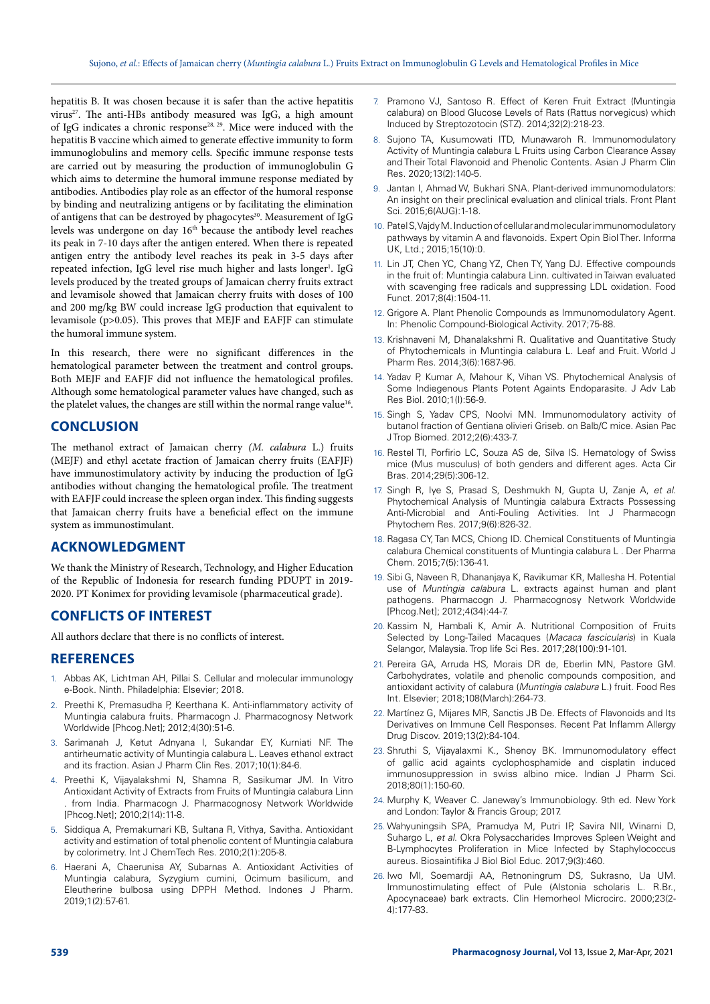hepatitis B. It was chosen because it is safer than the active hepatitis virus<sup>27</sup>. The anti-HBs antibody measured was IgG, a high amount of IgG indicates a chronic response28, 29. Mice were induced with the hepatitis B vaccine which aimed to generate effective immunity to form immunoglobulins and memory cells. Specific immune response tests are carried out by measuring the production of immunoglobulin G which aims to determine the humoral immune response mediated by antibodies. Antibodies play role as an effector of the humoral response by binding and neutralizing antigens or by facilitating the elimination of antigens that can be destroyed by phagocytes<sup>30</sup>. Measurement of IgG levels was undergone on day 16<sup>th</sup> because the antibody level reaches its peak in 7-10 days after the antigen entered. When there is repeated antigen entry the antibody level reaches its peak in 3-5 days after repeated infection, IgG level rise much higher and lasts longer<sup>1</sup>. IgG levels produced by the treated groups of Jamaican cherry fruits extract and levamisole showed that Jamaican cherry fruits with doses of 100 and 200 mg/kg BW could increase IgG production that equivalent to levamisole (p>0.05). This proves that MEJF and EAFJF can stimulate the humoral immune system.

In this research, there were no significant differences in the hematological parameter between the treatment and control groups. Both MEJF and EAFJF did not influence the hematological profiles. Although some hematological parameter values have changed, such as the platelet values, the changes are still within the normal range value<sup>16</sup>.

# **CONCLUSION**

The methanol extract of Jamaican cherry *(M. calabura* L.) fruits (MEJF) and ethyl acetate fraction of Jamaican cherry fruits (EAFJF) have immunostimulatory activity by inducing the production of IgG antibodies without changing the hematological profile. The treatment with EAFJF could increase the spleen organ index. This finding suggests that Jamaican cherry fruits have a beneficial effect on the immune system as immunostimulant.

# **ACKNOWLEDGMENT**

We thank the Ministry of Research, Technology, and Higher Education of the Republic of Indonesia for research funding PDUPT in 2019- 2020. PT Konimex for providing levamisole (pharmaceutical grade).

# **CONFLICTS OF INTEREST**

All authors declare that there is no conflicts of interest.

# **REFERENCES**

- 1. Abbas AK, Lichtman AH, Pillai S. Cellular and molecular immunology e-Book. Ninth. Philadelphia: Elsevier; 2018.
- 2. Preethi K, Premasudha P, Keerthana K. Anti-inflammatory activity of Muntingia calabura fruits. Pharmacogn J. Pharmacognosy Network Worldwide [Phcog.Net]; 2012;4(30):51-6.
- 3. Sarimanah J, Ketut Adnyana I, Sukandar EY, Kurniati NF. The antirheumatic activity of Muntingia calabura L. Leaves ethanol extract and its fraction. Asian J Pharm Clin Res. 2017;10(1):84-6.
- 4. Preethi K, Vijayalakshmi N, Shamna R, Sasikumar JM. In Vitro Antioxidant Activity of Extracts from Fruits of Muntingia calabura Linn . from India. Pharmacogn J. Pharmacognosy Network Worldwide [Phcog.Net]; 2010;2(14):11-8.
- 5. Siddiqua A, Premakumari KB, Sultana R, Vithya, Savitha. Antioxidant activity and estimation of total phenolic content of Muntingia calabura by colorimetry. Int J ChemTech Res. 2010;2(1):205-8.
- 6. Haerani A, Chaerunisa AY, Subarnas A. Antioxidant Activities of Muntingia calabura, Syzygium cumini, Ocimum basilicum, and Eleutherine bulbosa using DPPH Method. Indones J Pharm. 2019;1(2):57-61.
- 7. Pramono VJ, Santoso R. Effect of Keren Fruit Extract (Muntingia calabura) on Blood Glucose Levels of Rats (Rattus norvegicus) which Induced by Streptozotocin (STZ). 2014;32(2):218-23.
- 8. Sujono TA, Kusumowati ITD, Munawaroh R. Immunomodulatory Activity of Muntingia calabura L Fruits using Carbon Clearance Assay and Their Total Flavonoid and Phenolic Contents. Asian J Pharm Clin Res. 2020;13(2):140-5.
- 9. Jantan I, Ahmad W, Bukhari SNA. Plant-derived immunomodulators: An insight on their preclinical evaluation and clinical trials. Front Plant Sci. 2015;6(AUG):1-18.
- 10. Patel S, Vajdy M. Induction of cellular and molecular immunomodulatory pathways by vitamin A and flavonoids. Expert Opin Biol Ther. Informa UK, Ltd.; 2015;15(10):0.
- 11. Lin JT, Chen YC, Chang YZ, Chen TY, Yang DJ. Effective compounds in the fruit of: Muntingia calabura Linn. cultivated in Taiwan evaluated with scavenging free radicals and suppressing LDL oxidation. Food Funct. 2017;8(4):1504-11.
- 12. Grigore A. Plant Phenolic Compounds as Immunomodulatory Agent. In: Phenolic Compound-Biological Activity. 2017;75-88.
- 13. Krishnaveni M, Dhanalakshmi R. Qualitative and Quantitative Study of Phytochemicals in Muntingia calabura L. Leaf and Fruit. World J Pharm Res. 2014;3(6):1687-96.
- 14. Yadav P, Kumar A, Mahour K, Vihan VS. Phytochemical Analysis of Some Indiegenous Plants Potent Againts Endoparasite. J Adv Lab Res Biol. 2010;1(I):56-9.
- 15. Singh S, Yadav CPS, Noolvi MN. Immunomodulatory activity of butanol fraction of Gentiana olivieri Griseb. on Balb/C mice. Asian Pac J Trop Biomed. 2012;2(6):433-7.
- 16. Restel TI, Porfirio LC, Souza AS de, Silva IS. Hematology of Swiss mice (Mus musculus) of both genders and different ages. Acta Cir Bras. 2014;29(5):306-12.
- 17. Singh R, Iye S, Prasad S, Deshmukh N, Gupta U, Zanje A, *et al*. Phytochemical Analysis of Muntingia calabura Extracts Possessing Anti-Microbial and Anti-Fouling Activities. Int J Pharmacogn Phytochem Res. 2017;9(6):826-32.
- 18. Ragasa CY, Tan MCS, Chiong ID. Chemical Constituents of Muntingia calabura Chemical constituents of Muntingia calabura L . Der Pharma Chem. 2015;7(5):136-41.
- 19. Sibi G, Naveen R, Dhananjaya K, Ravikumar KR, Mallesha H. Potential use of *Muntingia calabura* L. extracts against human and plant pathogens. Pharmacogn J. Pharmacognosy Network Worldwide [Phcog.Net]; 2012;4(34):44-7.
- 20. Kassim N, Hambali K, Amir A. Nutritional Composition of Fruits Selected by Long-Tailed Macaques (*Macaca fascicularis*) in Kuala Selangor, Malaysia. Trop life Sci Res. 2017;28(100):91-101.
- 21. Pereira GA, Arruda HS, Morais DR de, Eberlin MN, Pastore GM. Carbohydrates, volatile and phenolic compounds composition, and antioxidant activity of calabura (*Muntingia calabura* L.) fruit. Food Res Int. Elsevier; 2018;108(March):264-73.
- 22. Martínez G, Mijares MR, Sanctis JB De. Effects of Flavonoids and Its Derivatives on Immune Cell Responses. Recent Pat Inflamm Allergy Drug Discov. 2019;13(2):84-104.
- 23. Shruthi S, Vijayalaxmi K., Shenoy BK. Immunomodulatory effect of gallic acid againts cyclophosphamide and cisplatin induced immunosuppression in swiss albino mice. Indian J Pharm Sci. 2018;80(1):150-60.
- 24. Murphy K, Weaver C. Janeway's Immunobiology. 9th ed. New York and London: Taylor & Francis Group; 2017.
- 25. Wahyuningsih SPA, Pramudya M, Putri IP, Savira NII, Winarni D, Suhargo L, *et al*. Okra Polysaccharides Improves Spleen Weight and B-Lymphocytes Proliferation in Mice Infected by Staphylococcus aureus. Biosaintifika J Biol Biol Educ. 2017;9(3):460.
- 26. Iwo MI, Soemardji AA, Retnoningrum DS, Sukrasno, Ua UM. Immunostimulating effect of Pule (Alstonia scholaris L. R.Br., Apocynaceae) bark extracts. Clin Hemorheol Microcirc. 2000;23(2- 4):177-83.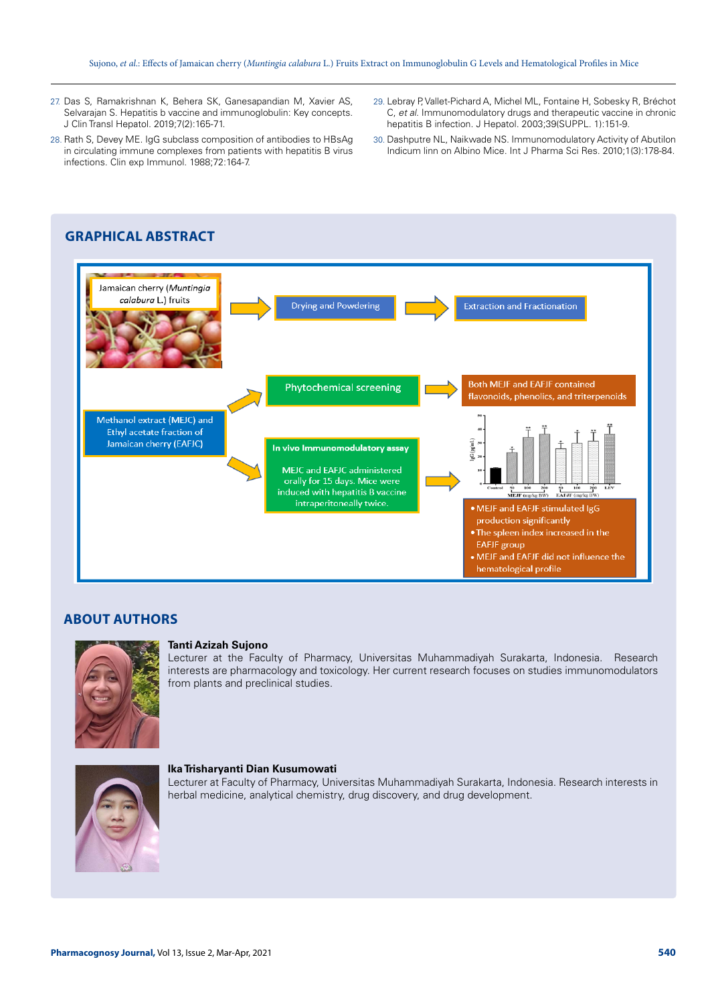- 27. Das S, Ramakrishnan K, Behera SK, Ganesapandian M, Xavier AS, Selvarajan S. Hepatitis b vaccine and immunoglobulin: Key concepts. J Clin Transl Hepatol. 2019;7(2):165-71.
- 28. Rath S, Devey ME. IgG subclass composition of antibodies to HBsAg in circulating immune complexes from patients with hepatitis B virus infections. Clin exp Immunol. 1988;72:164-7.
- 29. Lebray P, Vallet-Pichard A, Michel ML, Fontaine H, Sobesky R, Bréchot C, *et al*. Immunomodulatory drugs and therapeutic vaccine in chronic hepatitis B infection. J Hepatol. 2003;39(SUPPL. 1):151-9.
- 30. Dashputre NL, Naikwade NS. Immunomodulatory Activity of Abutilon Indicum linn on Albino Mice. Int J Pharma Sci Res. 2010;1(3):178-84.



# **ABOUT AUTHORS**



#### **Tanti Azizah Sujono**

Lecturer at the Faculty of Pharmacy, Universitas Muhammadiyah Surakarta, Indonesia. Research interests are pharmacology and toxicology. Her current research focuses on studies immunomodulators from plants and preclinical studies.



#### **Ika Trisharyanti Dian Kusumowati**

Lecturer at Faculty of Pharmacy, Universitas Muhammadiyah Surakarta, Indonesia. Research interests in herbal medicine, analytical chemistry, drug discovery, and drug development.